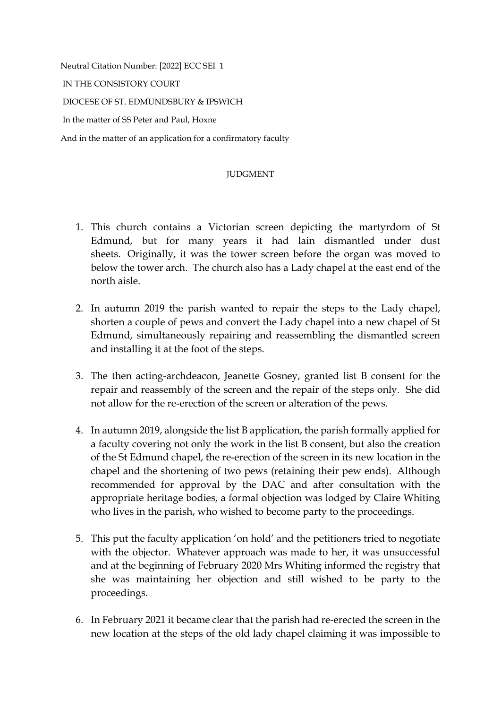Neutral Citation Number: [2022] ECC SEI 1 IN THE CONSISTORY COURT DIOCESE OF ST. EDMUNDSBURY & IPSWICH In the matter of SS Peter and Paul, Hoxne And in the matter of an application for a confirmatory faculty

## **JUDGMENT**

- 1. This church contains a Victorian screen depicting the martyrdom of St Edmund, but for many years it had lain dismantled under dust sheets. Originally, it was the tower screen before the organ was moved to below the tower arch. The church also has a Lady chapel at the east end of the north aisle.
- 2. In autumn 2019 the parish wanted to repair the steps to the Lady chapel, shorten a couple of pews and convert the Lady chapel into a new chapel of St Edmund, simultaneously repairing and reassembling the dismantled screen and installing it at the foot of the steps.
- 3. The then acting-archdeacon, Jeanette Gosney, granted list B consent for the repair and reassembly of the screen and the repair of the steps only. She did not allow for the re-erection of the screen or alteration of the pews.
- 4. In autumn 2019, alongside the list B application, the parish formally applied for a faculty covering not only the work in the list B consent, but also the creation of the St Edmund chapel, the re-erection of the screen in its new location in the chapel and the shortening of two pews (retaining their pew ends). Although recommended for approval by the DAC and after consultation with the appropriate heritage bodies, a formal objection was lodged by Claire Whiting who lives in the parish, who wished to become party to the proceedings.
- 5. This put the faculty application 'on hold' and the petitioners tried to negotiate with the objector. Whatever approach was made to her, it was unsuccessful and at the beginning of February 2020 Mrs Whiting informed the registry that she was maintaining her objection and still wished to be party to the proceedings.
- 6. In February 2021 it became clear that the parish had re-erected the screen in the new location at the steps of the old lady chapel claiming it was impossible to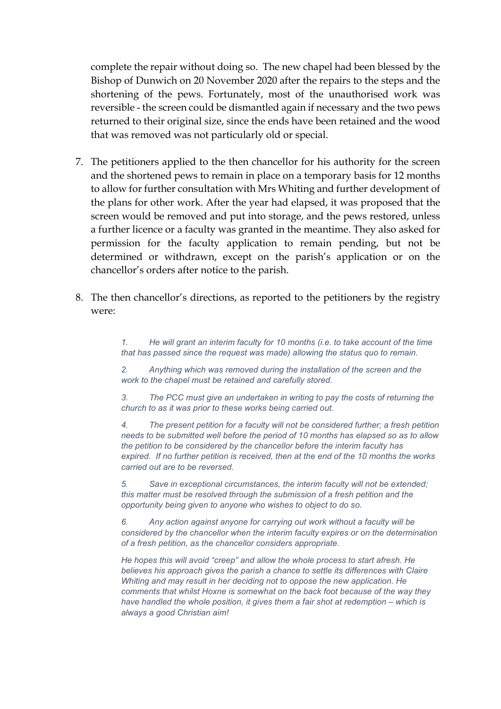complete the repair without doing so. The new chapel had been blessed by the Bishop of Dunwich on 20 November 2020 after the repairs to the steps and the shortening of the pews. Fortunately, most of the unauthorised work was reversible - the screen could be dismantled again if necessary and the two pews returned to their original size, since the ends have been retained and the wood that was removed was not particularly old or special.

- 7. The petitioners applied to the then chancellor for his authority for the screen and the shortened pews to remain in place on a temporary basis for 12 months to allow for further consultation with Mrs Whiting and further development of the plans for other work. After the year had elapsed, it was proposed that the screen would be removed and put into storage, and the pews restored, unless a further licence or a faculty was granted in the meantime. They also asked for permission for the faculty application to remain pending, but not be determined or withdrawn, except on the parish's application or on the chancellor's orders after notice to the parish.
- 8. The then chancellor's directions, as reported to the petitioners by the registry were:

*1. He will grant an interim faculty for 10 months (i.e. to take account of the time that has passed since the request was made) allowing the status quo to remain.*

*2. Anything which was removed during the installation of the screen and the work to the chapel must be retained and carefully stored.*

*3. The PCC must give an undertaken in writing to pay the costs of returning the church to as it was prior to these works being carried out.*

*4. The present petition for a faculty will not be considered further; a fresh petition needs to be submitted well before the period of 10 months has elapsed so as to allow the petition to be considered by the chancellor before the interim faculty has expired. If no further petition is received, then at the end of the 10 months the works carried out are to be reversed.* 

*5. Save in exceptional circumstances, the interim faculty will not be extended; this matter must be resolved through the submission of a fresh petition and the opportunity being given to anyone who wishes to object to do so.*

*6. Any action against anyone for carrying out work without a faculty will be considered by the chancellor when the interim faculty expires or on the determination of a fresh petition, as the chancellor considers appropriate.*

*He hopes this will avoid "creep" and allow the whole process to start afresh. He believes his approach gives the parish a chance to settle its differences with Claire Whiting and may result in her deciding not to oppose the new application. He comments that whilst Hoxne is somewhat on the back foot because of the way they have handled the whole position, it gives them a fair shot at redemption – which is always a good Christian aim!*